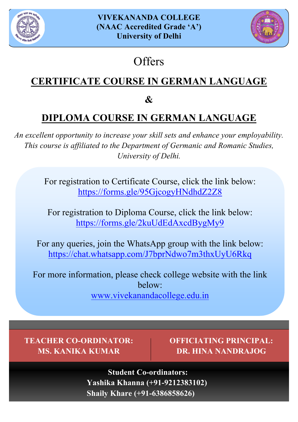



## **Offers**

### **CERTIFICATE COURSE IN GERMAN LANGUAGE**

**&** 

### **DIPLOMA COURSE IN GERMAN LANGUAGE**

*An excellent opportunity to increase your skill sets and enhance your employability. This course is affiliated to the Department of Germanic and Romanic Studies, University of Delhi.*

> For registration to Certificate Course, click the link below: https://forms.gle/95GjcogyHNdhdZ2Z8

For registration to Diploma Course, click the link below: https://forms.gle/2kuUdEdAxcdBygMy9

For any queries, join the WhatsApp group with the link below: https://chat.whatsapp.com/J7bprNdwo7m3thxUyU6Rkq

For more information, please check college website with the link below: www.vivekanandacollege.edu.in

**TEACHER CO-ORDINATOR: MS. KANIKA KUMAR**

**OFFICIATING PRINCIPAL: DR. HINA NANDRAJOG**

**Student Co-ordinators: Yashika Khanna (+91-9212383102) Shaily Khare (+91-6386858626)**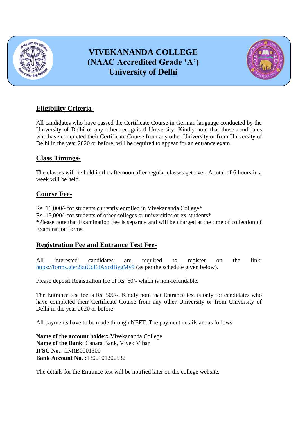

### **VIVEKANANDA COLLEGE (NAAC Accredited Grade "A") University of Delhi**



#### **Eligibility Criteria-**

All candidates who have passed the Certificate Course in German language conducted by the University of Delhi or any other recognised University. Kindly note that those candidates who have completed their Certificate Course from any other University or from University of Delhi in the year 2020 or before, will be required to appear for an entrance exam.

#### **Class Timings-**

The classes will be held in the afternoon after regular classes get over. A total of 6 hours in a week will be held.

#### **Course Fee-**

Rs. 16,000/- for students currently enrolled in Vivekananda College\* Rs. 18,000/- for students of other colleges or universities or ex-students\* \*Please note that Examination Fee is separate and will be charged at the time of collection of Examination forms.

#### **Registration Fee and Entrance Test Fee-**

All interested candidates are required to register on the link: <https://forms.gle/2kuUdEdAxcdBygMy9> (as per the schedule given below).

Please deposit Registration fee of Rs. 50/- which is non-refundable.

The Entrance test fee is Rs. 500/-. Kindly note that Entrance test is only for candidates who have completed their Certificate Course from any other University or from University of Delhi in the year 2020 or before.

All payments have to be made through NEFT. The payment details are as follows:

**Name of the account holder:** Vivekananda College **Name of the Bank**: Canara Bank, Vivek Vihar **IFSC No.**: CNRB0001300 **Bank Account No. :**1300101200532

The details for the Entrance test will be notified later on the college website.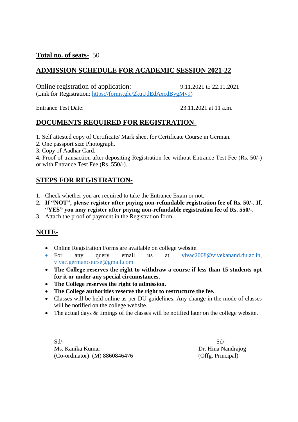#### **Total no. of seats-** 50

#### **ADMISSION SCHEDULE FOR ACADEMIC SESSION 2021-22**

Online registration of application: 9.11.2021 to 22.11.2021 (Link for Registration: [https://forms.gle/2kuUdEdAxcdBygMy9\)](https://forms.gle/2kuUdEdAxcdBygMy9)

Entrance Test Date: 23.11.2021 at 11 a.m.

#### **DOCUMENTS REQUIRED FOR REGISTRATION-**

1. Self attested copy of Certificate/ Mark sheet for Certificate Course in German.

- 2. One passport size Photograph.
- 3. Copy of Aadhar Card.

4. Proof of transaction after depositing Registration fee without Entrance Test Fee (Rs. 50/-) or with Entrance Test Fee (Rs. 550/-).

#### **STEPS FOR REGISTRATION-**

- 1. Check whether you are required to take the Entrance Exam or not.
- **2. If "NOT", please register after paying non-refundable registration fee of Rs. 50/-. If, "YES" you may register after paying non-refundable registration fee of Rs. 550/-.**
- 3. Attach the proof of payment in the Registration form.

#### **NOTE-**

- Online Registration Forms are available on college website.
- For any query email us at [vivac2008@vivekanand.du.ac.in,](mailto:vivac2008@vivekanand.du.ac.in) vivac.germancourse@gmail.com
- **The College reserves the right to withdraw a course if less than 15 students opt for it or under any special circumstances.**
- **The College reserves the right to admission.**
- **The College authorities reserve the right to restructure the fee.**
- Classes will be held online as per DU guidelines. Any change in the mode of classes will be notified on the college website.
- The actual days  $&$  timings of the classes will be notified later on the college website.

 $Sd$ - $Sd$ -Ms. Kanika Kumar Dr. Hina Nandrajog (Co-ordinator) (M) 8860846476 (Offg. Principal)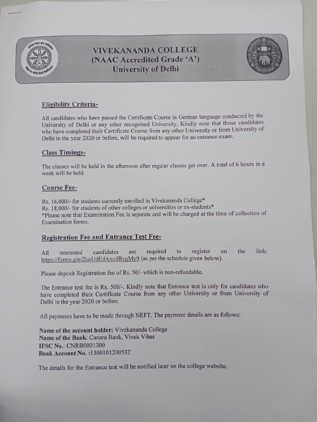

**VIVEKANANDA COLLEGE** (NAAC Accredited Grade 'A') **University of Delhi** 



## **Eligibility Criteria-**

All candidates who have passed the Certificate Course in German language conducted by the University of Delhi or any other recognised University. Kindly note that those candidates who have completed their Certificate Course from any other University or from University of Delhi in the year 2020 or before, will be required to appear for an entrance exam.

## **Class Timings-**

The classes will be held in the afternoon after regular classes get over. A total of 6 hours in a week will be held.

## **Course Fee-**

Rs. 16,000/- for students currently enrolled in Vivekananda College\* Rs. 18,000/- for students of other colleges or universities or ex-students\* \*Please note that Examination Fee is separate and will be charged at the time of collection of Examination forms.

## **Registration Fee and Entrance Test Fee-**

link: required register the candidates to are interested on All https://forms.gle/2kuUdEdAxcdBygMy9 (as per the schedule given below).

Please deposit Registration fee of Rs. 50/- which is non-refundable.

The Entrance test fee is Rs. 500/-. Kindly note that Entrance test is only for candidates who have completed their Certificate Course from any other University or from University of Delhi in the year 2020 or before.

All payments have to be made through NEFT. The payment details are as follows:

Name of the account holder: Vivekananda College Name of the Bank: Canara Bank, Vivek Vihar **IFSC No.: CNRB0001300** Bank Account No.: 1300101200532

The details for the Entrance test will be notified later on the college website.